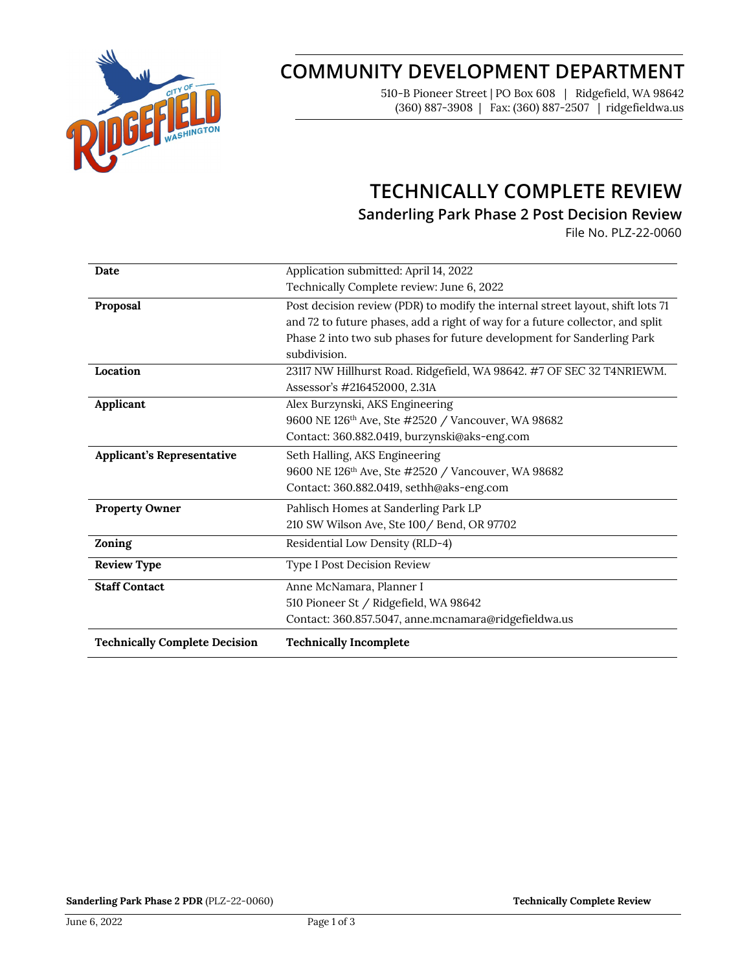

# **COMMUNITY DEVELOPMENT DEPARTMENT**

510-B Pioneer Street | PO Box 608 | Ridgefield, WA 98642 (360) 887-3908 | Fax: (360) 887-2507 | ridgefieldwa.us

## **TECHNICALLY COMPLETE REVIEW**

**Sanderling Park Phase 2 Post Decision Review**

File No. PLZ-22-0060

| Date                                 | Application submitted: April 14, 2022                                          |
|--------------------------------------|--------------------------------------------------------------------------------|
|                                      | Technically Complete review: June 6, 2022                                      |
| Proposal                             | Post decision review (PDR) to modify the internal street layout, shift lots 71 |
|                                      | and 72 to future phases, add a right of way for a future collector, and split  |
|                                      | Phase 2 into two sub phases for future development for Sanderling Park         |
|                                      | subdivision.                                                                   |
| Location                             | 23117 NW Hillhurst Road. Ridgefield, WA 98642. #7 OF SEC 32 T4NR1EWM.          |
|                                      | Assessor's #216452000, 2.31A                                                   |
| Applicant                            | Alex Burzynski, AKS Engineering                                                |
|                                      | 9600 NE 126 <sup>th</sup> Ave, Ste #2520 / Vancouver, WA 98682                 |
|                                      | Contact: 360.882.0419, burzynski@aks-eng.com                                   |
| <b>Applicant's Representative</b>    | Seth Halling, AKS Engineering                                                  |
|                                      | 9600 NE 126 <sup>th</sup> Ave, Ste #2520 / Vancouver, WA 98682                 |
|                                      | Contact: 360.882.0419, sethh@aks-eng.com                                       |
| <b>Property Owner</b>                | Pahlisch Homes at Sanderling Park LP                                           |
|                                      | 210 SW Wilson Ave, Ste 100 / Bend, OR 97702                                    |
| Zoning                               | Residential Low Density (RLD-4)                                                |
| <b>Review Type</b>                   | Type I Post Decision Review                                                    |
| <b>Staff Contact</b>                 | Anne McNamara, Planner I                                                       |
|                                      | 510 Pioneer St / Ridgefield, WA 98642                                          |
|                                      | Contact: 360.857.5047, anne.mcnamara@ridgefieldwa.us                           |
| <b>Technically Complete Decision</b> | <b>Technically Incomplete</b>                                                  |

**Sanderling Park Phase 2 PDR** (PLZ-22-0060) **Technically Complete Review Technically Complete Review**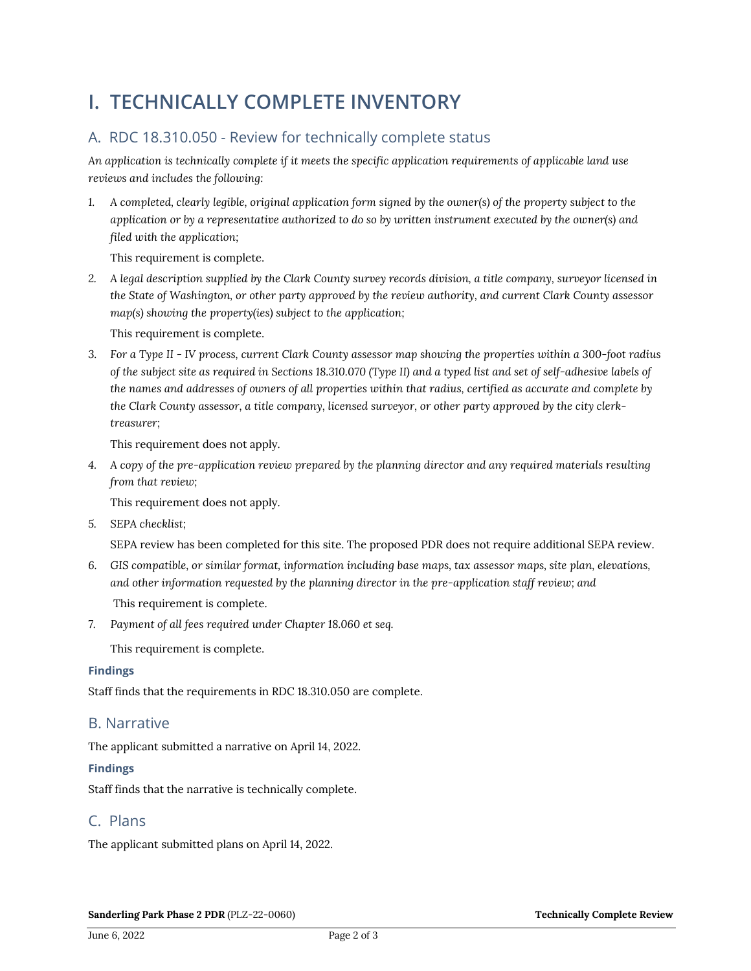## **I. TECHNICALLY COMPLETE INVENTORY**

## A. RDC 18.310.050 - Review for technically complete status

*An application is technically complete if it meets the specific application requirements of applicable land use reviews and includes the following:*

*1. A completed, clearly legible, original application form signed by the owner(s) of the property subject to the application or by a representative authorized to do so by written instrument executed by the owner(s) and filed with the application;* 

This requirement is complete.

*2. A legal description supplied by the Clark County survey records division, a title company, surveyor licensed in the State of Washington, or other party approved by the review authority, and current Clark County assessor map(s) showing the property(ies) subject to the application;*

This requirement is complete.

*3. For a Type II - IV process, current Clark County assessor map showing the properties within a 300-foot radius of the subject site as required in Sections 18.310.070 (Type II) and a typed list and set of self-adhesive labels of the names and addresses of owners of all properties within that radius, certified as accurate and complete by the Clark County assessor, a title company, licensed surveyor, or other party approved by the city clerktreasurer;*

This requirement does not apply.

*4. A copy of the pre-application review prepared by the planning director and any required materials resulting from that review;*

This requirement does not apply.

*5. SEPA checklist;*

SEPA review has been completed for this site. The proposed PDR does not require additional SEPA review.

- *6. GIS compatible, or similar format, information including base maps, tax assessor maps, site plan, elevations, and other information requested by the planning director in the pre-application staff review; and* This requirement is complete.
- *7. Payment of all fees required under Chapter 18.060 et seq.*

This requirement is complete.

#### **Findings**

Staff finds that the requirements in RDC 18.310.050 are complete.

### B. Narrative

The applicant submitted a narrative on April 14, 2022.

#### **Findings**

Staff finds that the narrative is technically complete.

### C. Plans

The applicant submitted plans on April 14, 2022.